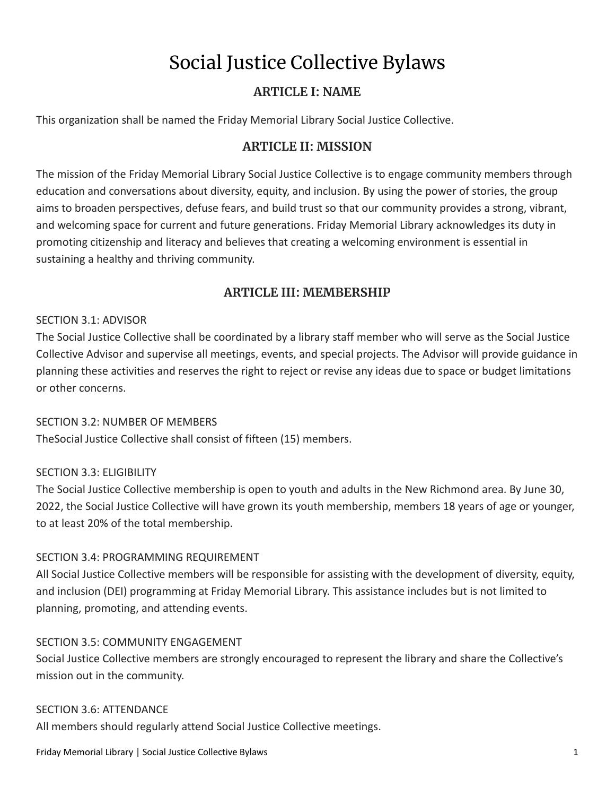# Social Justice Collective Bylaws

# **ARTICLE I: NAME**

This organization shall be named the Friday Memorial Library Social Justice Collective.

# **ARTICLE II: MISSION**

The mission of the Friday Memorial Library Social Justice Collective is to engage community members through education and conversations about diversity, equity, and inclusion. By using the power of stories, the group aims to broaden perspectives, defuse fears, and build trust so that our community provides a strong, vibrant, and welcoming space for current and future generations. Friday Memorial Library acknowledges its duty in promoting citizenship and literacy and believes that creating a welcoming environment is essential in sustaining a healthy and thriving community.

# **ARTICLE III: MEMBERSHIP**

# SECTION 3.1: ADVISOR

The Social Justice Collective shall be coordinated by a library staff member who will serve as the Social Justice Collective Advisor and supervise all meetings, events, and special projects. The Advisor will provide guidance in planning these activities and reserves the right to reject or revise any ideas due to space or budget limitations or other concerns.

# SECTION 3.2: NUMBER OF MEMBERS

TheSocial Justice Collective shall consist of fifteen (15) members.

# SECTION 3.3: ELIGIBILITY

The Social Justice Collective membership is open to youth and adults in the New Richmond area. By June 30, 2022, the Social Justice Collective will have grown its youth membership, members 18 years of age or younger, to at least 20% of the total membership.

# SECTION 3.4: PROGRAMMING REQUIREMENT

All Social Justice Collective members will be responsible for assisting with the development of diversity, equity, and inclusion (DEI) programming at Friday Memorial Library. This assistance includes but is not limited to planning, promoting, and attending events.

#### SECTION 3.5: COMMUNITY ENGAGEMENT

Social Justice Collective members are strongly encouraged to represent the library and share the Collective's mission out in the community.

#### SECTION 3.6: ATTENDANCE

All members should regularly attend Social Justice Collective meetings.

Friday Memorial Library | Social Justice Collective Bylaws 1